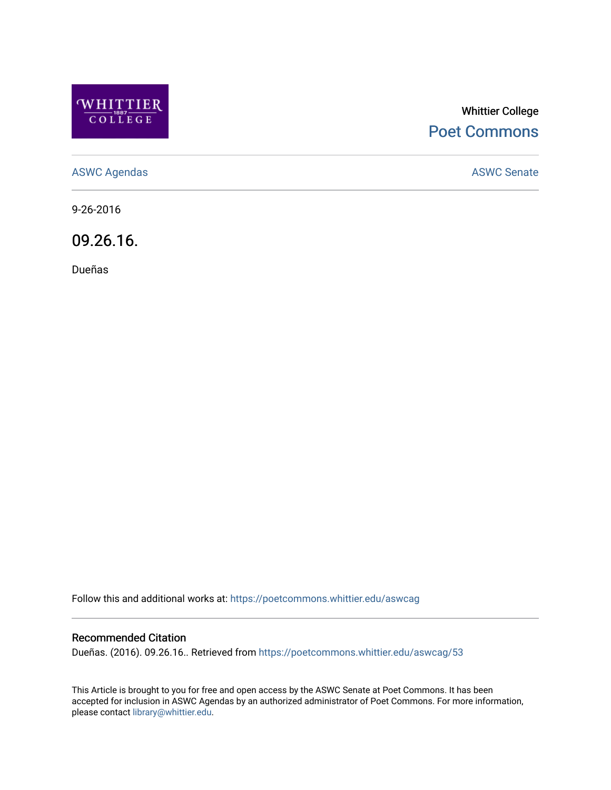

# Whittier College [Poet Commons](https://poetcommons.whittier.edu/)

[ASWC Agendas](https://poetcommons.whittier.edu/aswcag) **ASWC Senate** 

9-26-2016

09.26.16.

Dueñas

Follow this and additional works at: [https://poetcommons.whittier.edu/aswcag](https://poetcommons.whittier.edu/aswcag?utm_source=poetcommons.whittier.edu%2Faswcag%2F53&utm_medium=PDF&utm_campaign=PDFCoverPages) 

# Recommended Citation

Dueñas. (2016). 09.26.16.. Retrieved from [https://poetcommons.whittier.edu/aswcag/53](https://poetcommons.whittier.edu/aswcag/53?utm_source=poetcommons.whittier.edu%2Faswcag%2F53&utm_medium=PDF&utm_campaign=PDFCoverPages) 

This Article is brought to you for free and open access by the ASWC Senate at Poet Commons. It has been accepted for inclusion in ASWC Agendas by an authorized administrator of Poet Commons. For more information, please contact [library@whittier.edu](mailto:library@whittier.edu).